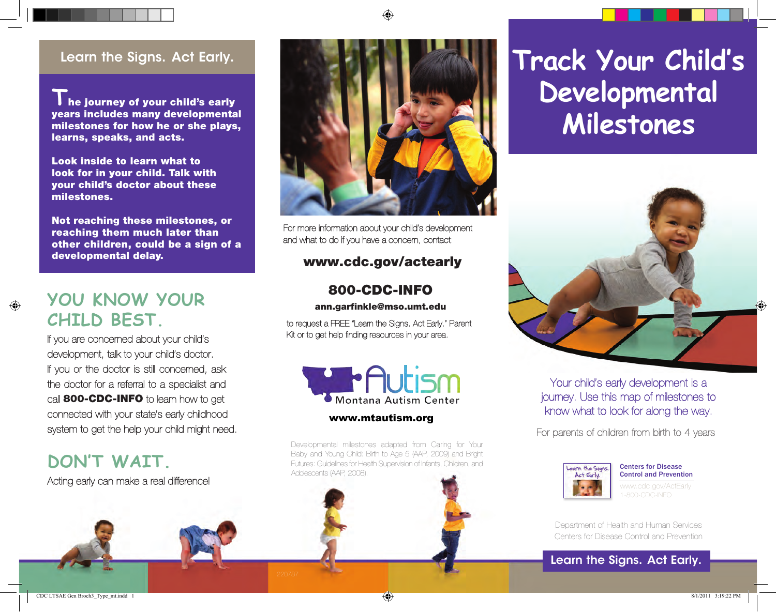**T** he journey of your child's early years includes many developmental milestones for how he or she plays, learns, speaks, and acts.

Look inside to learn what to look for in your child. Talk with your child's doctor about these milestones.

Not reaching these milestones, or reaching them much later than other children, could be a sign of a developmental delay.

### **You Know Your Child Best.**

If you are concerned about your child's development, talk to your child's doctor. If you or the doctor is still concerned, ask the doctor for a referral to a specialist and call **800-CDC-INFO** to learn how to get connected with your state's early childhood system to get the help your child might need.

### **Don't wait.**

Acting early can make a real difference!



For more information about your child's development and what to do if you have a concern, contact:

#### www.cdc.gov/actearly

#### 800-CDC-INFO

ann.garfinkle@mso.umt.edu

to request a FREE "Learn the Signs. Act Early." Parent Kit or to get help finding resources in your area.



#### www.mtautism.org

Developmental milestones adapted from Caring for Your Baby and Young Child: Birth to Age 5 (AAP, 2009) and Bright Futures: Guidelines for Health Supervision of Infants, Children, and Adolescents (AAP, 2008).

## Learn the Signs. Act Early. **The Signs of Early. The Signs of Early Child's Developmental Milestones**



Your child's early development is a journey. Use this map of milestones to know what to look for along the way.

For parents of children from birth to 4 years



Centers for Disease Control and Prevention

Department of Health and Human Services Centers for Disease Control and Prevention

#### Learn the Signs. Act Early.